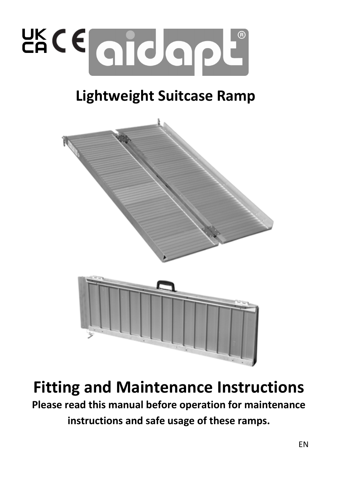

# Lightweight Suitcase Ramp



Fitting and Maintenance Instructions Please read this manual before operation for maintenance instructions and safe usage of these ramps.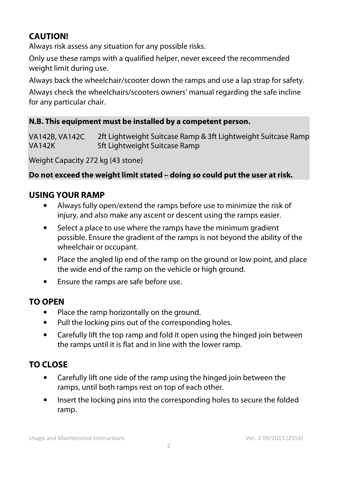## **CAUTION!**

Always risk assess any situation for any possible risks.

Only use these ramps with a qualified helper, never exceed the recommended weight limit during use.

Always back the wheelchair/scooter down the ramps and use a lap strap for safety.

Always check the wheelchairs/scooters owners' manual regarding the safe incline for any particular chair.

#### **N.B. This equipment must be installed by a competent person.**

VA142B, VA142C 2ft Lightweight Suitcase Ramp & 3ft Lightweight Suitcase Ramp 5ft Lightweight Suitcase Ramp

Weight Capacity 272 kg (43 stone)

#### **Do not exceed the weight limit stated – doing so could put the user at risk.**

#### **USING YOUR RAMP**

- Always fully open/extend the ramps before use to minimize the risk of injury, and also make any ascent or descent using the ramps easier.
- Select a place to use where the ramps have the minimum gradient possible. Ensure the gradient of the ramps is not beyond the ability of the wheelchair or occupant.
- Place the angled lip end of the ramp on the ground or low point, and place the wide end of the ramp on the vehicle or high ground.
- Ensure the ramps are safe before use.

#### **TO OPEN**

- Place the ramp horizontally on the ground.
- Pull the locking pins out of the corresponding holes.
- Carefully lift the top ramp and fold it open using the hinged join between the ramps until it is flat and in line with the lower ramp.

## **TO CLOSE**

- Carefully lift one side of the ramp using the hinged join between the ramps, until both ramps rest on top of each other.
- Insert the locking pins into the corresponding holes to secure the folded ramp.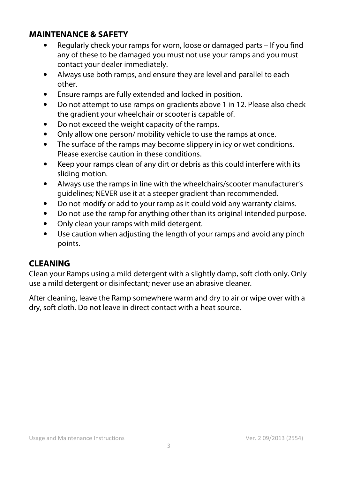### **MAINTENANCE & SAFETY**

- Regularly check your ramps for worn, loose or damaged parts If you find any of these to be damaged you must not use your ramps and you must contact your dealer immediately.
- Always use both ramps, and ensure they are level and parallel to each other.
- Ensure ramps are fully extended and locked in position.
- Do not attempt to use ramps on gradients above 1 in 12. Please also check the gradient your wheelchair or scooter is capable of.
- Do not exceed the weight capacity of the ramps.
- Only allow one person/ mobility vehicle to use the ramps at once.
- The surface of the ramps may become slippery in icy or wet conditions. Please exercise caution in these conditions.
- Keep your ramps clean of any dirt or debris as this could interfere with its sliding motion.
- Always use the ramps in line with the wheelchairs/scooter manufacturer's guidelines; NEVER use it at a steeper gradient than recommended.
- Do not modify or add to your ramp as it could void any warranty claims.
- Do not use the ramp for anything other than its original intended purpose.
- Only clean your ramps with mild detergent.
- Use caution when adjusting the length of your ramps and avoid any pinch points.

## **CLEANING**

Clean your Ramps using a mild detergent with a slightly damp, soft cloth only. Only use a mild detergent or disinfectant; never use an abrasive cleaner.

After cleaning, leave the Ramp somewhere warm and dry to air or wipe over with a dry, soft cloth. Do not leave in direct contact with a heat source.